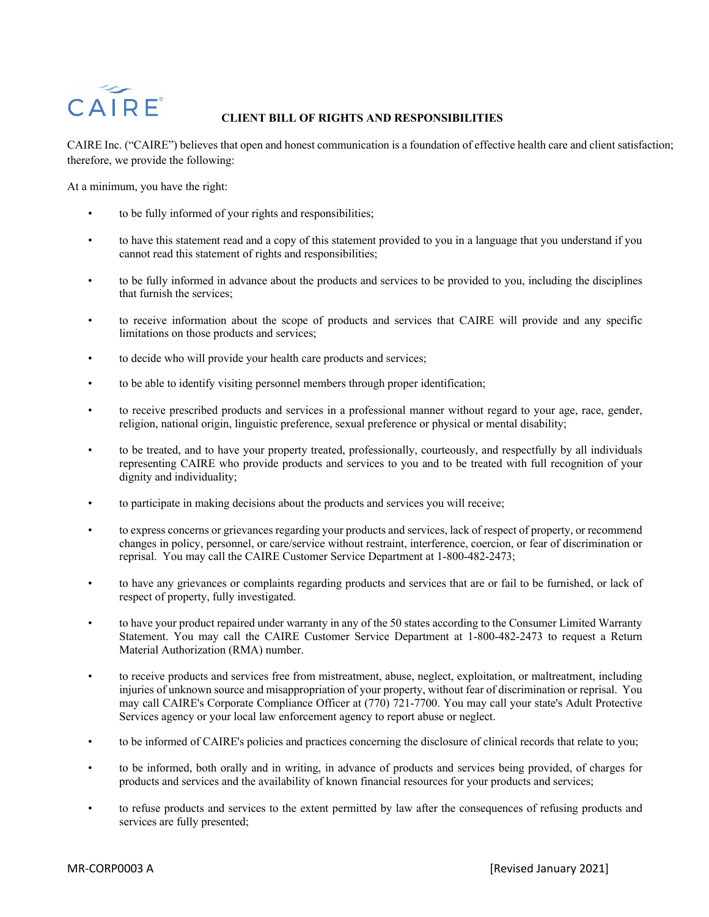## CAIRE

## **CLIENT BILL OF RIGHTS AND RESPONSIBILITIES**

CAIRE Inc. ("CAIRE") believes that open and honest communication is a foundation of effective health care and client satisfaction; therefore, we provide the following:

At a minimum, you have the right:

- to be fully informed of your rights and responsibilities;
- to have this statement read and a copy of this statement provided to you in a language that you understand if you cannot read this statement of rights and responsibilities;
- to be fully informed in advance about the products and services to be provided to you, including the disciplines that furnish the services;
- to receive information about the scope of products and services that CAIRE will provide and any specific limitations on those products and services;
- to decide who will provide your health care products and services;
- to be able to identify visiting personnel members through proper identification;
- to receive prescribed products and services in a professional manner without regard to your age, race, gender, religion, national origin, linguistic preference, sexual preference or physical or mental disability;
- to be treated, and to have your property treated, professionally, courteously, and respectfully by all individuals representing CAIRE who provide products and services to you and to be treated with full recognition of your dignity and individuality;
- to participate in making decisions about the products and services you will receive;
- to express concerns or grievances regarding your products and services, lack of respect of property, or recommend changes in policy, personnel, or care/service without restraint, interference, coercion, or fear of discrimination or reprisal. You may call the CAIRE Customer Service Department at 1-800-482-2473;
- to have any grievances or complaints regarding products and services that are or fail to be furnished, or lack of respect of property, fully investigated.
- to have your product repaired under warranty in any of the 50 states according to the Consumer Limited Warranty Statement. You may call the CAIRE Customer Service Department at 1-800-482-2473 to request a Return Material Authorization (RMA) number.
- to receive products and services free from mistreatment, abuse, neglect, exploitation, or maltreatment, including injuries of unknown source and misappropriation of your property, without fear of discrimination or reprisal. You may call CAIRE's Corporate Compliance Officer at (770) 721-7700. You may call your state's Adult Protective Services agency or your local law enforcement agency to report abuse or neglect.
- to be informed of CAIRE's policies and practices concerning the disclosure of clinical records that relate to you;
- to be informed, both orally and in writing, in advance of products and services being provided, of charges for products and services and the availability of known financial resources for your products and services;
- to refuse products and services to the extent permitted by law after the consequences of refusing products and services are fully presented;